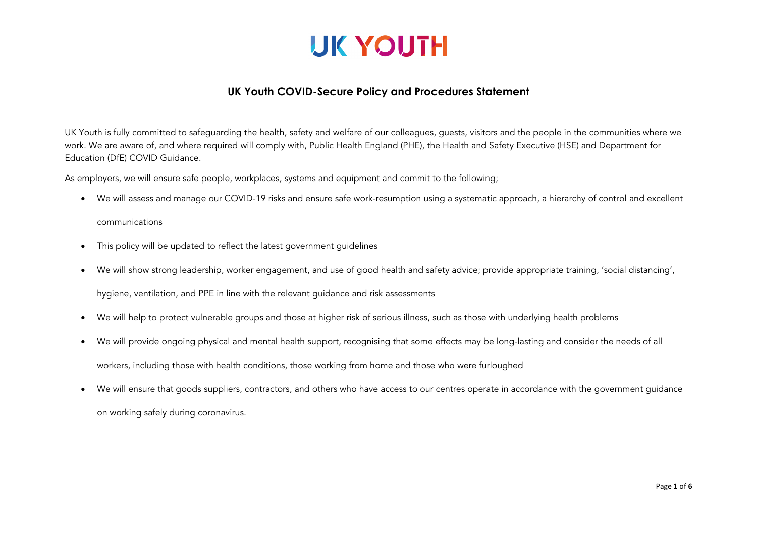

#### **UK Youth COVID-Secure Policy and Procedures Statement**

UK Youth is fully committed to safeguarding the health, safety and welfare of our colleagues, guests, visitors and the people in the communities where we work. We are aware of, and where required will comply with, Public Health England (PHE), the Health and Safety Executive (HSE) and Department for Education (DfE) COVID Guidance.

As employers, we will ensure safe people, workplaces, systems and equipment and commit to the following;

• We will assess and manage our COVID-19 risks and ensure safe work-resumption using a systematic approach, a hierarchy of control and excellent

#### communications

- This policy will be updated to reflect the latest government quidelines
- We will show strong leadership, worker engagement, and use of good health and safety advice; provide appropriate training, 'social distancing',

hygiene, ventilation, and PPE in line with the relevant guidance and risk assessments

- We will help to protect vulnerable groups and those at higher risk of serious illness, such as those with underlying health problems
- We will provide ongoing physical and mental health support, recognising that some effects may be long-lasting and consider the needs of all workers, including those with health conditions, those working from home and those who were furloughed
- We will ensure that goods suppliers, contractors, and others who have access to our centres operate in accordance with the government guidance on working safely during coronavirus.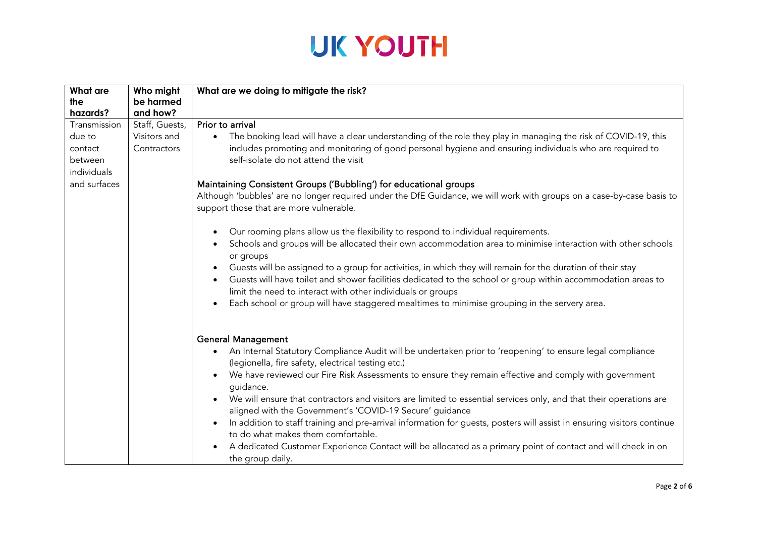| <b>What are</b> | Who might      | What are we doing to mitigate the risk?                                                                                          |
|-----------------|----------------|----------------------------------------------------------------------------------------------------------------------------------|
| the             | be harmed      |                                                                                                                                  |
| hazards?        | and how?       |                                                                                                                                  |
| Transmission    | Staff, Guests, | Prior to arrival                                                                                                                 |
| due to          | Visitors and   | The booking lead will have a clear understanding of the role they play in managing the risk of COVID-19, this<br>$\bullet$       |
| contact         | Contractors    | includes promoting and monitoring of good personal hygiene and ensuring individuals who are required to                          |
| between         |                | self-isolate do not attend the visit                                                                                             |
| individuals     |                |                                                                                                                                  |
| and surfaces    |                | Maintaining Consistent Groups ('Bubbling') for educational groups                                                                |
|                 |                | Although 'bubbles' are no longer required under the DfE Guidance, we will work with groups on a case-by-case basis to            |
|                 |                | support those that are more vulnerable.                                                                                          |
|                 |                |                                                                                                                                  |
|                 |                | Our rooming plans allow us the flexibility to respond to individual requirements.                                                |
|                 |                | Schools and groups will be allocated their own accommodation area to minimise interaction with other schools                     |
|                 |                | or groups                                                                                                                        |
|                 |                | Guests will be assigned to a group for activities, in which they will remain for the duration of their stay                      |
|                 |                | Guests will have toilet and shower facilities dedicated to the school or group within accommodation areas to                     |
|                 |                | limit the need to interact with other individuals or groups                                                                      |
|                 |                | Each school or group will have staggered mealtimes to minimise grouping in the servery area.                                     |
|                 |                |                                                                                                                                  |
|                 |                |                                                                                                                                  |
|                 |                | <b>General Management</b>                                                                                                        |
|                 |                | An Internal Statutory Compliance Audit will be undertaken prior to 'reopening' to ensure legal compliance                        |
|                 |                | (legionella, fire safety, electrical testing etc.)                                                                               |
|                 |                | We have reviewed our Fire Risk Assessments to ensure they remain effective and comply with government                            |
|                 |                | guidance.                                                                                                                        |
|                 |                | We will ensure that contractors and visitors are limited to essential services only, and that their operations are               |
|                 |                | aligned with the Government's 'COVID-19 Secure' guidance                                                                         |
|                 |                | In addition to staff training and pre-arrival information for guests, posters will assist in ensuring visitors continue          |
|                 |                | to do what makes them comfortable.                                                                                               |
|                 |                |                                                                                                                                  |
|                 |                |                                                                                                                                  |
|                 |                | A dedicated Customer Experience Contact will be allocated as a primary point of contact and will check in on<br>the group daily. |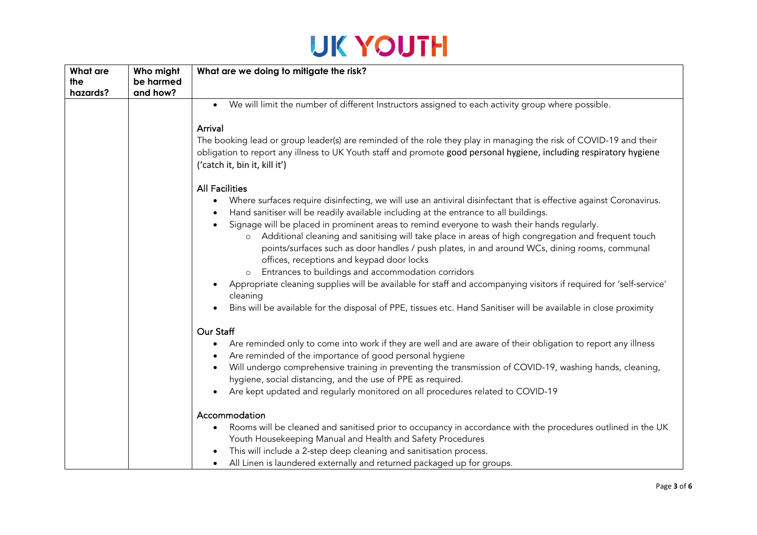| <b>What are</b> | Who might | What are we doing to mitigate the risk?                                                                                                                                                                                                                                                                                                                                                                           |
|-----------------|-----------|-------------------------------------------------------------------------------------------------------------------------------------------------------------------------------------------------------------------------------------------------------------------------------------------------------------------------------------------------------------------------------------------------------------------|
| the             | be harmed |                                                                                                                                                                                                                                                                                                                                                                                                                   |
| hazards?        | and how?  |                                                                                                                                                                                                                                                                                                                                                                                                                   |
|                 |           | • We will limit the number of different Instructors assigned to each activity group where possible.                                                                                                                                                                                                                                                                                                               |
|                 |           | Arrival                                                                                                                                                                                                                                                                                                                                                                                                           |
|                 |           | The booking lead or group leader(s) are reminded of the role they play in managing the risk of COVID-19 and their<br>obligation to report any illness to UK Youth staff and promote good personal hygiene, including respiratory hygiene<br>('catch it, bin it, kill it')                                                                                                                                         |
|                 |           | <b>All Facilities</b>                                                                                                                                                                                                                                                                                                                                                                                             |
|                 |           | Where surfaces require disinfecting, we will use an antiviral disinfectant that is effective against Coronavirus.<br>Hand sanitiser will be readily available including at the entrance to all buildings.<br>Signage will be placed in prominent areas to remind everyone to wash their hands regularly.<br>o Additional cleaning and sanitising will take place in areas of high congregation and frequent touch |
|                 |           | points/surfaces such as door handles / push plates, in and around WCs, dining rooms, communal<br>offices, receptions and keypad door locks                                                                                                                                                                                                                                                                        |
|                 |           | Entrances to buildings and accommodation corridors                                                                                                                                                                                                                                                                                                                                                                |
|                 |           | Appropriate cleaning supplies will be available for staff and accompanying visitors if required for 'self-service'<br>cleaning                                                                                                                                                                                                                                                                                    |
|                 |           | Bins will be available for the disposal of PPE, tissues etc. Hand Sanitiser will be available in close proximity                                                                                                                                                                                                                                                                                                  |
|                 |           | Our Staff                                                                                                                                                                                                                                                                                                                                                                                                         |
|                 |           | Are reminded only to come into work if they are well and are aware of their obligation to report any illness<br>$\bullet$<br>Are reminded of the importance of good personal hygiene                                                                                                                                                                                                                              |
|                 |           | Will undergo comprehensive training in preventing the transmission of COVID-19, washing hands, cleaning,<br>hygiene, social distancing, and the use of PPE as required.                                                                                                                                                                                                                                           |
|                 |           | Are kept updated and regularly monitored on all procedures related to COVID-19                                                                                                                                                                                                                                                                                                                                    |
|                 |           | Accommodation                                                                                                                                                                                                                                                                                                                                                                                                     |
|                 |           | Rooms will be cleaned and sanitised prior to occupancy in accordance with the procedures outlined in the UK<br>$\bullet$                                                                                                                                                                                                                                                                                          |
|                 |           | Youth Housekeeping Manual and Health and Safety Procedures                                                                                                                                                                                                                                                                                                                                                        |
|                 |           | This will include a 2-step deep cleaning and sanitisation process.                                                                                                                                                                                                                                                                                                                                                |
|                 |           | All Linen is laundered externally and returned packaged up for groups.                                                                                                                                                                                                                                                                                                                                            |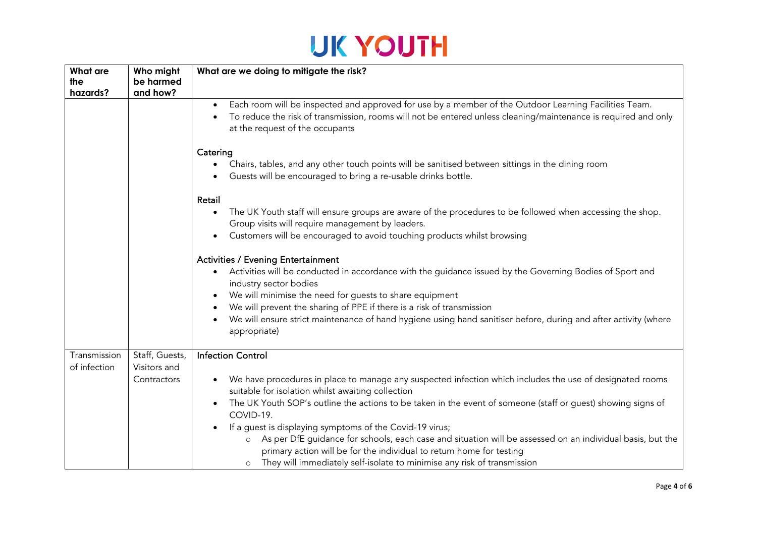| <b>What are</b> | Who might                   | What are we doing to mitigate the risk?                                                                                                                                                                                                                                                                                                                                                                                                                                                                                                                |
|-----------------|-----------------------------|--------------------------------------------------------------------------------------------------------------------------------------------------------------------------------------------------------------------------------------------------------------------------------------------------------------------------------------------------------------------------------------------------------------------------------------------------------------------------------------------------------------------------------------------------------|
| the             | be harmed                   |                                                                                                                                                                                                                                                                                                                                                                                                                                                                                                                                                        |
| hazards?        | and how?                    |                                                                                                                                                                                                                                                                                                                                                                                                                                                                                                                                                        |
|                 |                             | Each room will be inspected and approved for use by a member of the Outdoor Learning Facilities Team.<br>To reduce the risk of transmission, rooms will not be entered unless cleaning/maintenance is required and only<br>at the request of the occupants                                                                                                                                                                                                                                                                                             |
|                 |                             | Catering                                                                                                                                                                                                                                                                                                                                                                                                                                                                                                                                               |
|                 |                             | Chairs, tables, and any other touch points will be sanitised between sittings in the dining room<br>Guests will be encouraged to bring a re-usable drinks bottle.                                                                                                                                                                                                                                                                                                                                                                                      |
|                 |                             | Retail                                                                                                                                                                                                                                                                                                                                                                                                                                                                                                                                                 |
|                 |                             | The UK Youth staff will ensure groups are aware of the procedures to be followed when accessing the shop.<br>$\bullet$<br>Group visits will require management by leaders.<br>Customers will be encouraged to avoid touching products whilst browsing                                                                                                                                                                                                                                                                                                  |
|                 |                             | <b>Activities / Evening Entertainment</b><br>Activities will be conducted in accordance with the guidance issued by the Governing Bodies of Sport and<br>industry sector bodies                                                                                                                                                                                                                                                                                                                                                                        |
|                 |                             | We will minimise the need for guests to share equipment                                                                                                                                                                                                                                                                                                                                                                                                                                                                                                |
|                 |                             | We will prevent the sharing of PPE if there is a risk of transmission                                                                                                                                                                                                                                                                                                                                                                                                                                                                                  |
|                 |                             | We will ensure strict maintenance of hand hygiene using hand sanitiser before, during and after activity (where<br>appropriate)                                                                                                                                                                                                                                                                                                                                                                                                                        |
| Transmission    | Staff, Guests,              | <b>Infection Control</b>                                                                                                                                                                                                                                                                                                                                                                                                                                                                                                                               |
| of infection    | Visitors and<br>Contractors | We have procedures in place to manage any suspected infection which includes the use of designated rooms<br>suitable for isolation whilst awaiting collection<br>The UK Youth SOP's outline the actions to be taken in the event of someone (staff or guest) showing signs of<br>COVID-19.<br>If a guest is displaying symptoms of the Covid-19 virus;<br>As per DfE guidance for schools, each case and situation will be assessed on an individual basis, but the<br>$\circ$<br>primary action will be for the individual to return home for testing |
|                 |                             | They will immediately self-isolate to minimise any risk of transmission<br>$\circ$                                                                                                                                                                                                                                                                                                                                                                                                                                                                     |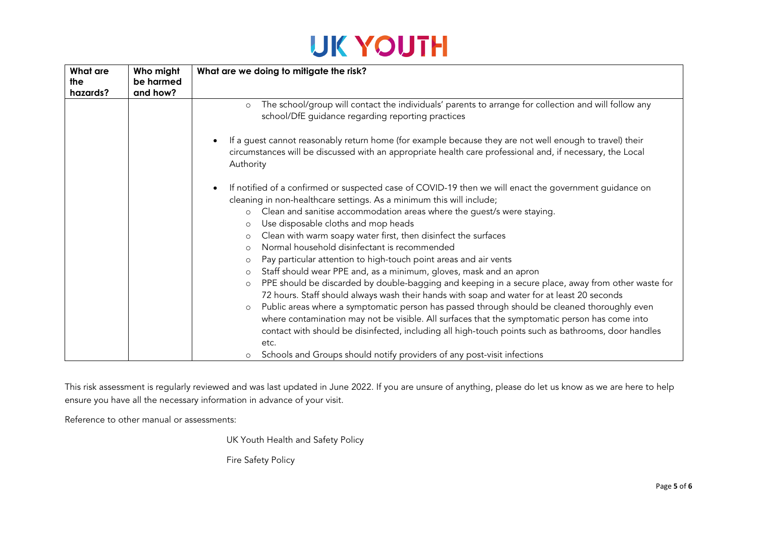| What are | Who might | What are we doing to mitigate the risk?                                                                                                                                                                                           |
|----------|-----------|-----------------------------------------------------------------------------------------------------------------------------------------------------------------------------------------------------------------------------------|
| the      | be harmed |                                                                                                                                                                                                                                   |
| hazards? | and how?  |                                                                                                                                                                                                                                   |
|          |           | The school/group will contact the individuals' parents to arrange for collection and will follow any<br>$\circ$<br>school/DfE guidance regarding reporting practices                                                              |
|          |           | If a guest cannot reasonably return home (for example because they are not well enough to travel) their<br>circumstances will be discussed with an appropriate health care professional and, if necessary, the Local<br>Authority |
|          |           | If notified of a confirmed or suspected case of COVID-19 then we will enact the government guidance on<br>cleaning in non-healthcare settings. As a minimum this will include;                                                    |
|          |           | Clean and sanitise accommodation areas where the guest/s were staying.<br>$\circ$                                                                                                                                                 |
|          |           | Use disposable cloths and mop heads<br>$\circ$                                                                                                                                                                                    |
|          |           | Clean with warm soapy water first, then disinfect the surfaces<br>$\circ$                                                                                                                                                         |
|          |           | Normal household disinfectant is recommended<br>$\circ$                                                                                                                                                                           |
|          |           | Pay particular attention to high-touch point areas and air vents<br>$\circ$                                                                                                                                                       |
|          |           | Staff should wear PPE and, as a minimum, gloves, mask and an apron<br>$\circ$                                                                                                                                                     |
|          |           | PPE should be discarded by double-bagging and keeping in a secure place, away from other waste for<br>$\circ$                                                                                                                     |
|          |           | 72 hours. Staff should always wash their hands with soap and water for at least 20 seconds                                                                                                                                        |
|          |           | Public areas where a symptomatic person has passed through should be cleaned thoroughly even<br>$\circ$                                                                                                                           |
|          |           | where contamination may not be visible. All surfaces that the symptomatic person has come into                                                                                                                                    |
|          |           | contact with should be disinfected, including all high-touch points such as bathrooms, door handles                                                                                                                               |
|          |           | etc.                                                                                                                                                                                                                              |
|          |           | Schools and Groups should notify providers of any post-visit infections                                                                                                                                                           |

This risk assessment is regularly reviewed and was last updated in June 2022. If you are unsure of anything, please do let us know as we are here to help ensure you have all the necessary information in advance of your visit.

Reference to other manual or assessments:

UK Youth Health and Safety Policy

Fire Safety Policy